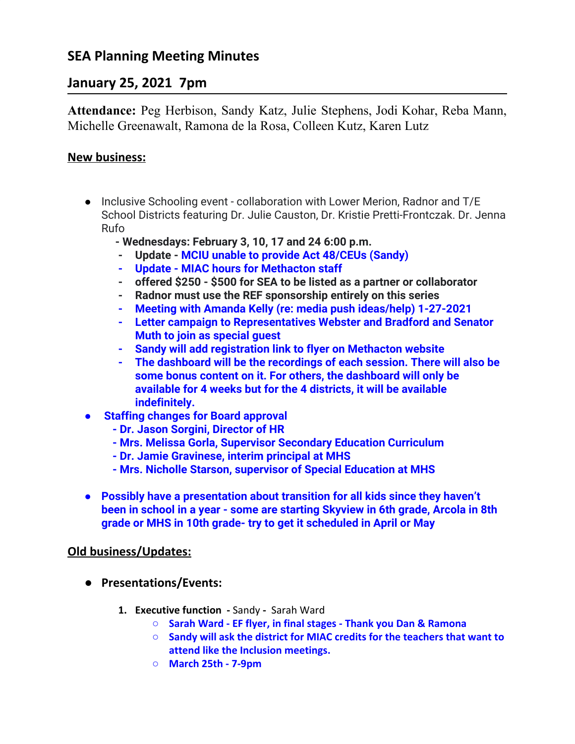# **SEA Planning Meeting Minutes**

## **January 25, 2021 7pm**

**Attendance:** Peg Herbison, Sandy Katz, Julie Stephens, Jodi Kohar, Reba Mann, Michelle Greenawalt, Ramona de la Rosa, Colleen Kutz, Karen Lutz

### **New business:**

- **●** Inclusive Schooling event collaboration with Lower Merion, Radnor and T/E School Districts featuring Dr. Julie Causton, Dr. Kristie Pretti-Frontczak. Dr. Jenna Rufo
	- **Wednesdays: February 3, 10, 17 and 24 6:00 p.m.**
	- **- Update MCIU unable to provide Act 48/CEUs (Sandy)**
	- **- Update MIAC hours for Methacton staff**
	- **- offered \$250 \$500 for SEA to be listed as a partner or collaborator**
	- **- Radnor must use the REF sponsorship entirely on this series**
	- **- Meeting with Amanda Kelly (re: media push ideas/help) 1-27-2021**
	- **- Letter campaign to Representatives Webster and Bradford and Senator Muth to join as special guest**
	- **- Sandy will add registration link to flyer on Methacton website**
	- **- The dashboard will be the recordings of each session. There will also be some bonus content on it. For others, the dashboard will only be available for 4 weeks but for the 4 districts, it will be available indefinitely.**
- **● Staffing changes for Board approval**
	- **Dr. Jason Sorgini, Director of HR**
	- **Mrs. Melissa Gorla, Supervisor Secondary Education Curriculum**
	- **Dr. Jamie Gravinese, interim principal at MHS**
	- **Mrs. Nicholle Starson, supervisor of Special Education at MHS**
- **● Possibly have a presentation about transition for all kids since they haven't been in school in a year - some are starting Skyview in 6th grade, Arcola in 8th grade or MHS in 10th grade- try to get it scheduled in April or May**

### **Old business/Updates:**

- **● Presentations/Events:**
	- **1. Executive function -** SandySarah Ward
		- **Sarah Ward EF flyer, in final stages Thank you Dan & Ramona**
		- **Sandy will ask the district for MIAC credits for the teachers that want to attend like the Inclusion meetings.**
		- **○ March 25th 7-9pm**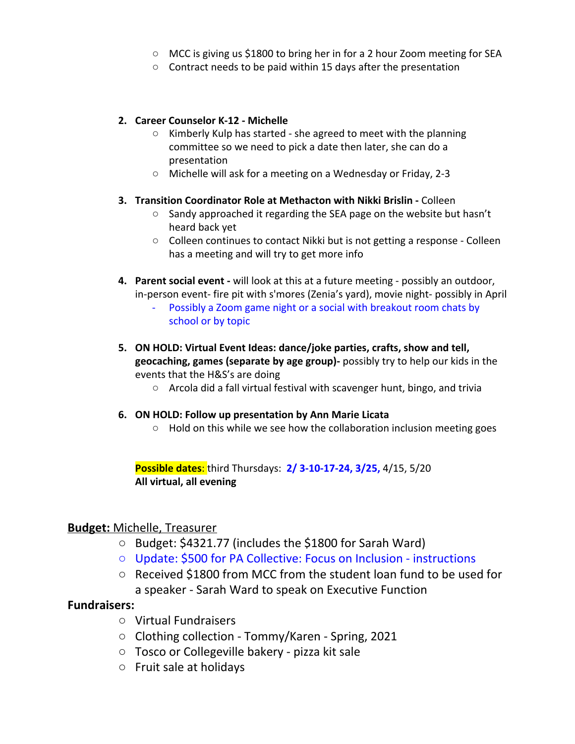- MCC is giving us \$1800 to bring her in for a 2 hour Zoom meeting for SEA
- Contract needs to be paid within 15 days after the presentation

#### **2. Career Counselor K-12 - Michelle**

- Kimberly Kulp has started she agreed to meet with the planning committee so we need to pick a date then later, she can do a presentation
- Michelle will ask for a meeting on a Wednesday or Friday, 2-3

#### **3. Transition Coordinator Role at Methacton with Nikki Brislin -** Colleen

- $\circ$  Sandy approached it regarding the SEA page on the website but hasn't heard back yet
- Colleen continues to contact Nikki but is not getting a response Colleen has a meeting and will try to get more info
- **4. Parent social event -** will look at this at a future meeting possibly an outdoor, in-person event- fire pit with s'mores (Zenia's yard), movie night- possibly in April Possibly a Zoom game night or a social with breakout room chats by school or by topic
- **5. ON HOLD: Virtual Event Ideas: dance/joke parties, crafts, show and tell, geocaching, games (separate by age group)-** possibly try to help our kids in the events that the H&S's are doing
	- Arcola did a fall virtual festival with scavenger hunt, bingo, and trivia

#### **6. ON HOLD: Follow up presentation by Ann Marie Licata**

○ Hold on this while we see how the collaboration inclusion meeting goes

**Possible dates**: third Thursdays: **2/ 3-10-17-24, 3/25,** 4/15, 5/20 **All virtual, all evening**

#### **Budget:** Michelle, Treasurer

- Budget: \$4321.77 (includes the \$1800 for Sarah Ward)
- Update: \$500 for PA Collective: Focus on Inclusion instructions
- Received \$1800 from MCC from the student loan fund to be used for a speaker - Sarah Ward to speak on Executive Function

#### **Fundraisers:**

- Virtual Fundraisers
- Clothing collection Tommy/Karen Spring, 2021
- Tosco or Collegeville bakery pizza kit sale
- Fruit sale at holidays